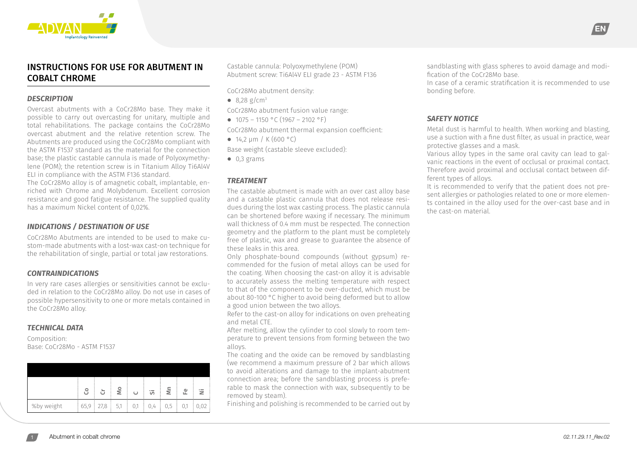

# INSTRUCTIONS FOR USE FOR ABUTMENT IN COBALT CHROME

#### *DESCRIPTION*

Overcast abutments with a CoCr28Mo base. They make it possible to carry out overcasting for unitary, multiple and total rehabilitations. The package contains the CoCr28Mo overcast abutment and the relative retention screw. The Abutments are produced using the CoCr28Mo compliant with the ASTM F1537 standard as the material for the connection base; the plastic castable cannula is made of Polyoxymethylene (POM); the retention screw is in Titanium Alloy Ti6Al4V ELI in compliance with the ASTM F136 standard.

The CoCr28Mo alloy is of amagnetic cobalt, implantable, enriched with Chrome and Molybdenum. Excellent corrosion resistance and good fatigue resistance. The supplied quality has a maximum Nickel content of 0,02%.

#### *INDICATIONS / DESTINATION OF USE*

CoCr28Mo Abutments are intended to be used to make custom-made abutments with a lost-wax cast-on technique for the rehabilitation of single, partial or total jaw restorations.

#### *CONTRAINDICATIONS*

In very rare cases allergies or sensitivities cannot be excluded in relation to the CoCr28Mo alloy. Do not use in cases of possible hypersensitivity to one or more metals contained in the CoCr28Mo alloy.

#### *TECHNICAL DATA*

Composition: Base: CoCr28Mo - ASTM F1537

|            | පි | ò               | $\overline{\mathsf{M}}$ | $\cup$   | <b>'</b> | ξ   | 운   | 三    |
|------------|----|-----------------|-------------------------|----------|----------|-----|-----|------|
| %by weight |    | $65,9$ 27,8 5,1 | - 1                     | 0,1<br>÷ | 0,4<br>÷ | 0,5 | 0,1 | 0,02 |

Castable cannula: Polyoxymethylene (POM) Abutment screw: Ti6Al4V ELI grade 23 - ASTM F136

CoCr28Mo abutment density:

**⦁** 8,28 g/cm3

CoCr28Mo abutment fusion value range:

 $\bullet$  1075 – 1150 °C (1967 – 2102 °F)

CoCr28Mo abutment thermal expansion coefficient:

**⦁** 14,2 μm / K (600 °C)

Base weight (castable sleeve excluded):

**⦁** 0,3 grams

#### *TREATMENT*

The castable abutment is made with an over cast alloy base and a castable plastic cannula that does not release residues during the lost wax casting process. The plastic cannula can be shortened before waxing if necessary. The minimum wall thickness of 0.4 mm must be respected. The connection geometry and the platform to the plant must be completely free of plastic, wax and grease to guarantee the absence of these leaks in this area.

Only phosphate-bound compounds (without gypsum) recommended for the fusion of metal alloys can be used for the coating. When choosing the cast-on alloy it is advisable to accurately assess the melting temperature with respect to that of the component to be over-ducted, which must be about 80-100 °C higher to avoid being deformed but to allow a good union between the two alloys.

Refer to the cast-on alloy for indications on oven preheating and metal CTE.

After melting, allow the cylinder to cool slowly to room temperature to prevent tensions from forming between the two alloys.

The coating and the oxide can be removed by sandblasting (we recommend a maximum pressure of 2 bar which allows to avoid alterations and damage to the implant-abutment connection area; before the sandblasting process is preferable to mask the connection with wax, subsequently to be removed by steam).

Finishing and polishing is recommended to be carried out by

sandblasting with glass spheres to avoid damage and modification of the CoCr28Mo base.

EN

In case of a ceramic stratification it is recommended to use bonding before.

#### *SAFETY NOTICE*

Metal dust is harmful to health. When working and blasting, use a suction with a fine dust filter, as usual in practice, wear protective glasses and a mask.

Various alloy types in the same oral cavity can lead to galvanic reactions in the event of occlusal or proximal contact. Therefore avoid proximal and occlusal contact between different types of alloys.

It is recommended to verify that the patient does not present allergies or pathologies related to one or more elements contained in the alloy used for the over-cast base and in the cast-on material.